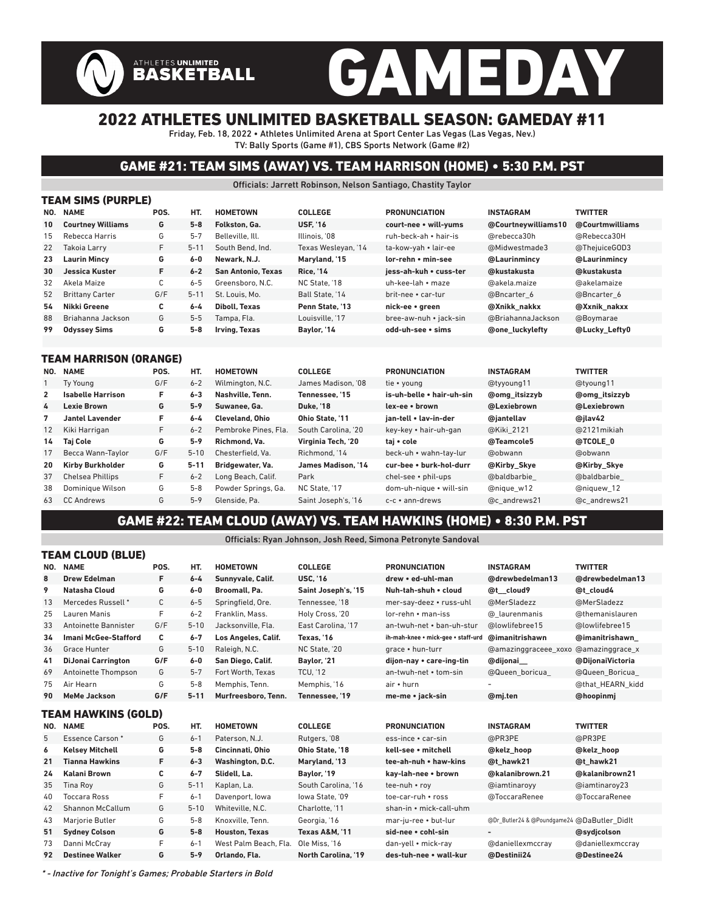# GAMEDAY

## 2022 ATHLETES UNLIMITED BASKETBALL SEASON: GAMEDAY #11

Friday, Feb. 18, 2022 • Athletes Unlimited Arena at Sport Center Las Vegas (Las Vegas, Nev.) TV: Bally Sports (Game #1), CBS Sports Network (Game #2)

### GAME #21: TEAM SIMS (AWAY) VS. TEAM HARRISON (HOME) • 5:30 P.M. PST

Officials: Jarrett Robinson, Nelson Santiago, Chastity Taylor

| <b>TEAM SIMS (PURPLE)</b> |                          |             |          |                      |                     |                        |                        |                 |  |  |  |  |  |
|---------------------------|--------------------------|-------------|----------|----------------------|---------------------|------------------------|------------------------|-----------------|--|--|--|--|--|
| NO.                       | <b>NAME</b>              | POS.<br>HT. |          | <b>HOMETOWN</b>      | <b>COLLEGE</b>      | <b>PRONUNCIATION</b>   | <b>INSTAGRAM</b>       | <b>TWITTER</b>  |  |  |  |  |  |
| 10                        | <b>Courtney Williams</b> | G           | $5 - 8$  | Folkston, Ga.        | <b>USF. '16</b>     | court-nee • will-yums  | @Courtneywilliams10    | @Courtmwilliams |  |  |  |  |  |
| 15                        | Rebecca Harris           | G           | $5 - 7$  | Belleville, Ill.     | Illinois. '08       | ruh-beck-ah • hair-is  | @rebecca30h            | @Rebecca30H     |  |  |  |  |  |
| 22                        | Takoja Larry             | F.          | $5 - 11$ | South Bend, Ind.     | Texas Wesleyan, '14 | ta-kow-yah • lair-ee   | @Midwestmade3          | @ThejuiceGOD3   |  |  |  |  |  |
| 23                        | <b>Laurin Mincy</b>      | G           | 6-0      | Newark, N.J.         | Maryland, '15       | lor-rehn • min-see     | @Laurinmincy           | @Laurinmincy    |  |  |  |  |  |
| 30                        | Jessica Kuster           | F           | $6 - 2$  | San Antonio, Texas   | <b>Rice. '14</b>    | iess-ah-kuh • cuss-ter | @kustakusta            | @kustakusta     |  |  |  |  |  |
| 32                        | Akela Maize              | C           | $6 - 5$  | Greensboro, N.C.     | NC State. '18       | uh-kee-lah • maze      | @akela.maize           | @akelamaize     |  |  |  |  |  |
| 52                        | <b>Brittany Carter</b>   | G/F         | $5 - 11$ | St. Louis, Mo.       | Ball State, '14     | brit-nee • car-tur     | @Bncarter 6            | @Bncarter 6     |  |  |  |  |  |
| 54                        | Nikki Greene             | C           | $6 - 4$  | <b>Diboll, Texas</b> | Penn State, '13     | nick-ee • green        | @Xnikk nakkx           | @Xxnik nakxx    |  |  |  |  |  |
| 88                        | Briahanna Jackson        | G           | $5 - 5$  | Tampa, Fla.          | Louisville. '17     | bree-aw-nuh • jack-sin | @BriahannaJackson      | @Boymarae       |  |  |  |  |  |
| 99                        | <b>Odyssey Sims</b>      | G           | $5 - 8$  | Irving, Texas        | Baylor, '14         | odd-uh-see • sims      | <b>@one luckylefty</b> | @Lucky_Lefty0   |  |  |  |  |  |
|                           |                          |             |          |                      |                     |                        |                        |                 |  |  |  |  |  |

#### TEAM HARRISON (ORANGE)

**ATHLETES UNLIMITED**<br>BASKETBALL

ALL OLOHAND (BLUE)

| NO.          | <b>NAME</b>              | POS. | HT.      | <b>HOMETOWN</b>        | <b>COLLEGE</b>      | <b>PRONUNCIATION</b>         | <b>INSTAGRAM</b>     | <b>TWITTER</b>       |
|--------------|--------------------------|------|----------|------------------------|---------------------|------------------------------|----------------------|----------------------|
|              | Ty Young                 | G/F  | $6 - 2$  | Wilmington, N.C.       | James Madison, '08  | tie • young                  | @tyyoung11           | @tyoung11            |
| $\mathbf{2}$ | <b>Isabelle Harrison</b> | F.   | $6 - 3$  | Nashville, Tenn.       | Tennessee. '15      | is-uh-belle . hair-uh-sin    | <b>@omg</b> itsizzyb | <b>@omg</b> itsizzyb |
| 4            | <b>Lexie Brown</b>       | G    | $5 - 9$  | Suwanee, Ga.           | <b>Duke, '18</b>    | lex-ee • brown               | @Lexiebrown          | @Lexiebrown          |
| 7            | Jantel Lavender          | F.   | $6 - 4$  | <b>Cleveland, Ohio</b> | Ohio State. '11     | ian-tell • lav-in-der        | @jantellav           | @ilav42              |
| 12           | Kiki Harrigan            | F.   | $6 - 2$  | Pembroke Pines, Fla.   | South Carolina. '20 | key-key • hair-uh-gan        | @Kiki 2121           | @2121 mikiah         |
| 14           | <b>Taj Cole</b>          | G    | $5 - 9$  | Richmond, Va.          | Virginia Tech. '20  | tai • cole                   | @Teamcole5           | @TCOLE 0             |
| 17           | Becca Wann-Taylor        | G/F  | $5 - 10$ | Chesterfield, Va.      | Richmond, '14       | beck-uh • wahn-tay-lur       | @obwann              | @obwann              |
| 20           | <b>Kirby Burkholder</b>  | G    | $5 - 11$ | Bridgewater, Va.       | James Madison. '14  | cur-bee • burk-hol-durr      | @Kirby Skye          | @Kirby_Skye          |
| 37           | <b>Chelsea Phillips</b>  | F.   | $6 - 2$  | Long Beach, Calif.     | Park                | $chel$ -see $\cdot$ phil-ups | @baldbarbie          | @baldbarbie          |
| 38           | Dominique Wilson         | G    | $5 - 8$  | Powder Springs, Ga.    | NC State, '17       | dom-uh-nique • will-sin      | @nique w12           | @niquew 12           |
| 63           | <b>CC Andrews</b>        | G    | $5 - 9$  | Glenside, Pa.          | Saint Joseph's, '16 | c-c • ann-drews              | @c andrews21         | @c andrews21         |

#### GAME #22: TEAM CLOUD (AWAY) VS. TEAM HAWKINS (HOME) • 8:30 P.M. PST

Officials: Ryan Johnson, Josh Reed, Simona Petronyte Sandoval

|     | I EAM GLUUD (BLUE)          |      |          |                       |                                          |                                    |                                             |                  |  |  |  |  |
|-----|-----------------------------|------|----------|-----------------------|------------------------------------------|------------------------------------|---------------------------------------------|------------------|--|--|--|--|
| NO. | <b>NAME</b>                 | POS. | HT.      | <b>HOMETOWN</b>       | <b>COLLEGE</b>                           | <b>PRONUNCIATION</b>               | <b>INSTAGRAM</b>                            | <b>TWITTER</b>   |  |  |  |  |
| 8   | <b>Drew Edelman</b>         | F    | $6 - 4$  | Sunnyvale, Calif.     | <b>USC, '16</b>                          | drew . ed-uhl-man                  | @drewbedelman13                             | @drewbedelman13  |  |  |  |  |
| 9   | <b>Natasha Cloud</b>        | G    | $6-0$    | Broomall, Pa.         | Saint Joseph's, '15                      | Nuh-tah-shuh . cloud               | @t cloud9                                   | @t cloud4        |  |  |  |  |
| 13  | Mercedes Russell *          | C    | $6 - 5$  | Springfield, Ore.     | Tennessee. '18                           | mer-say-deez • russ-uhl            | @MerSladezz                                 | @MerSladezz      |  |  |  |  |
| 25  | Lauren Manis                | F    | $6 - 2$  | Franklin, Mass.       | Holy Cross, '20                          | lor-rehn • man-iss                 | @ laurenmanis                               | @themanislauren  |  |  |  |  |
| 33  | Antoinette Bannister        | G/F  | $5 - 10$ | Jacksonville. Fla.    | East Carolina, '17                       | an-twuh-net • ban-uh-stur          | @lowlifebree15                              | @lowlifebree15   |  |  |  |  |
| 34  | <b>Imani McGee-Stafford</b> | С    | $6 - 7$  | Los Angeles, Calif.   | Texas, '16                               | ih-mah-knee • mick-gee • staff-urd | @imanitrishawn                              | @imanitrishawn   |  |  |  |  |
| 36  | <b>Grace Hunter</b>         | G    | $5 - 10$ | Raleigh, N.C.         | NC State, '20                            | grace • hun-turr                   | @amazinggraceee xoxo                        | @amazinggrace x  |  |  |  |  |
| 41  | <b>DiJonai Carrington</b>   | G/F  | $6-0$    | San Diego, Calif.     | Baylor, '21                              | dijon-nay • care-ing-tin           | @dijonai                                    | @DijonaiVictoria |  |  |  |  |
| 69  | Antoinette Thompson         | G    | $5 - 7$  | Fort Worth, Texas     | <b>TCU, '12</b><br>an-twuh-net • tom-sin |                                    | @Queen boricua                              | @Queen Boricua   |  |  |  |  |
| 75  | Air Hearn                   | G    | $5 - 8$  | Memphis. Tenn.        | Memphis, '16<br>air • hurn               |                                    |                                             | @that HEARN kidd |  |  |  |  |
| 90  | <b>MeMe Jackson</b>         | G/F  | $5 - 11$ | Murfreesboro, Tenn.   | Tennessee. '19                           | me-me • jack-sin                   | @mi.ten                                     | @hoopinmj        |  |  |  |  |
|     | TEAM HAWKINS (GOLD)         |      |          |                       |                                          |                                    |                                             |                  |  |  |  |  |
| NO. | <b>NAME</b>                 | POS. | HT.      | <b>HOMETOWN</b>       | <b>COLLEGE</b>                           | <b>PRONUNCIATION</b>               | <b>INSTAGRAM</b>                            | <b>TWITTER</b>   |  |  |  |  |
| 5   | <b>Essence Carson*</b>      | G    | $6 - 1$  | Paterson, N.J.        | Rutgers, '08                             | ess-ince • car-sin                 | @PR3PE                                      | @PR3PE           |  |  |  |  |
| 6   | <b>Kelsey Mitchell</b>      | G    | $5-8$    | Cincinnati, Ohio      | Ohio State, '18                          | kell-see • mitchell                | @kelz hoop                                  | @kelz hoop       |  |  |  |  |
| 21  | <b>Tianna Hawkins</b>       | F    | $6 - 3$  | Washington, D.C.      | Maryland, '13                            | tee-ah-nuh • haw-kins              | @t hawk21                                   | @t hawk21        |  |  |  |  |
| 24  | Kalani Brown                | C    | $6 - 7$  | Slidell, La.          | Baylor, '19                              | kay-lah-nee • brown                | @kalanibrown.21                             | @kalanibrown21   |  |  |  |  |
| 35  | <b>Tina Rov</b>             | G    | $5 - 11$ | Kaplan, La.           | South Carolina. '16                      | tee-nuh • rov                      | @iamtinarovy                                | @iamtinaroy23    |  |  |  |  |
| 40  | <b>Toccara Ross</b>         | F    | $6 - 1$  | Davenport, Iowa       | lowa State. '09                          | toe-car-ruh • ross                 | @ToccaraRenee                               | @ToccaraRenee    |  |  |  |  |
| 42  | <b>Shannon McCallum</b>     | G    | $5 - 10$ | Whiteville, N.C.      | Charlotte, '11                           | shan-in • mick-call-uhm            |                                             |                  |  |  |  |  |
| 43  | Marjorie Butler             | G    | $5 - 8$  | Knoxville, Tenn.      | Georgia, '16                             | mar-ju-ree • but-lur               | @Dr_Butler24 & @Poundgame24 @DaButler Didlt |                  |  |  |  |  |
| 51  | <b>Sydney Colson</b>        | G    | $5 - 8$  | <b>Houston, Texas</b> | Texas A&M. '11                           | sid-nee • cohl-sin                 | -                                           | @sydicolson      |  |  |  |  |
| 73  | Danni McCray                | F    | $6 - 1$  | West Palm Beach, Fla. | Ole Miss, '16                            | dan-yell • mick-ray                | @daniellexmccray                            | @daniellexmccray |  |  |  |  |
| 92  | <b>Destinee Walker</b>      | G    | $5 - 9$  | Orlando, Fla.         | North Carolina, '19                      | des-tuh-nee • wall-kur             | @Destinii24                                 | @Destinee24      |  |  |  |  |
|     |                             |      |          |                       |                                          |                                    |                                             |                  |  |  |  |  |

\* - Inactive for Tonight's Games; Probable Starters in Bold